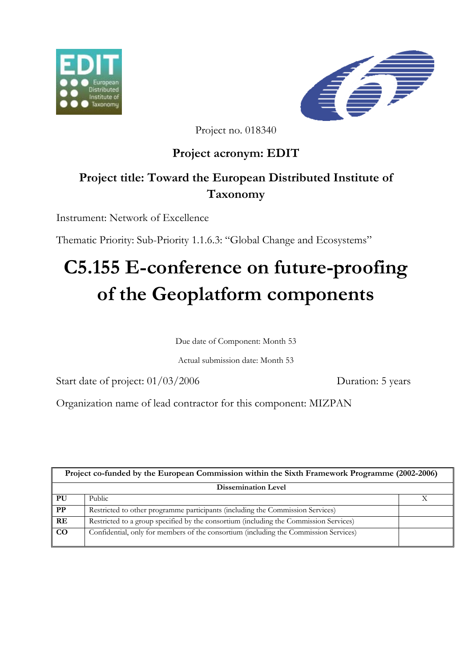



Project no. 018340

### **Project acronym: EDIT**

## **Project title: Toward the European Distributed Institute of Taxonomy**

Instrument: Network of Excellence

Thematic Priority: Sub-Priority 1.1.6.3: "Global Change and Ecosystems"

# **C5.155 E-conference on future-proofing of the Geoplatform components**

Due date of Component: Month 53

Actual submission date: Month 53

Start date of project:  $01/03/2006$  Duration: 5 years

Organization name of lead contractor for this component: MIZPAN

| Project co-funded by the European Commission within the Sixth Framework Programme (2002-2006) |                                                                                       |  |
|-----------------------------------------------------------------------------------------------|---------------------------------------------------------------------------------------|--|
| <b>Dissemination Level</b>                                                                    |                                                                                       |  |
| PU                                                                                            | Public                                                                                |  |
| $\overline{\text{PP}}$                                                                        | Restricted to other programme participants (including the Commission Services)        |  |
| RE                                                                                            | Restricted to a group specified by the consortium (including the Commission Services) |  |
| $\overline{co}$                                                                               | Confidential, only for members of the consortium (including the Commission Services)  |  |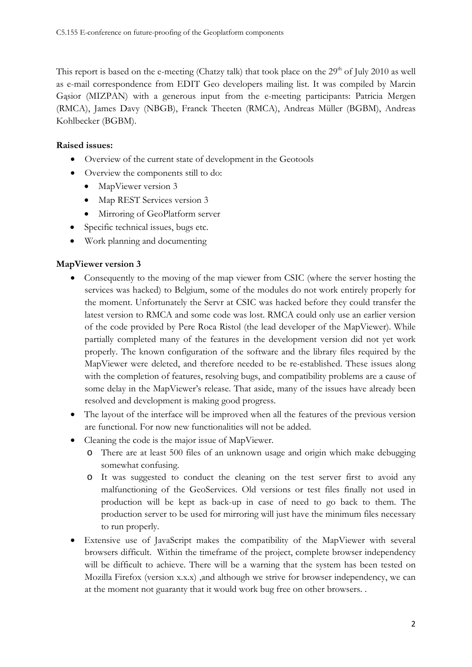This report is based on the e-meeting (Chatzy talk) that took place on the 29<sup>th</sup> of July 2010 as well as e-mail correspondence from EDIT Geo developers mailing list. It was compiled by Marcin Gąsior (MIZPAN) with a generous input from the e-meeting participants: Patricia Mergen (RMCA), James Davy (NBGB), Franck Theeten (RMCA), Andreas Müller (BGBM), Andreas Kohlbecker (BGBM).

#### **Raised issues:**

- Overview of the current state of development in the Geotools
- Overview the components still to do:
	- MapViewer version 3
	- Map REST Services version 3
	- Mirroring of GeoPlatform server
- Specific technical issues, bugs etc.
- Work planning and documenting

#### **MapViewer version 3**

- Consequently to the moving of the map viewer from CSIC (where the server hosting the services was hacked) to Belgium, some of the modules do not work entirely properly for the moment. Unfortunately the Servr at CSIC was hacked before they could transfer the latest version to RMCA and some code was lost. RMCA could only use an earlier version of the code provided by Pere Roca Ristol (the lead developer of the MapViewer). While partially completed many of the features in the development version did not yet work properly. The known configuration of the software and the library files required by the MapViewer were deleted, and therefore needed to be re-established. These issues along with the completion of features, resolving bugs, and compatibility problems are a cause of some delay in the MapViewer's release. That aside, many of the issues have already been resolved and development is making good progress.
- The layout of the interface will be improved when all the features of the previous version are functional. For now new functionalities will not be added.
- Cleaning the code is the major issue of MapViewer.
	- o There are at least 500 files of an unknown usage and origin which make debugging somewhat confusing.
	- o It was suggested to conduct the cleaning on the test server first to avoid any malfunctioning of the GeoServices. Old versions or test files finally not used in production will be kept as back-up in case of need to go back to them. The production server to be used for mirroring will just have the minimum files necessary to run properly.
- Extensive use of JavaScript makes the compatibility of the MapViewer with several browsers difficult. Within the timeframe of the project, complete browser independency will be difficult to achieve. There will be a warning that the system has been tested on Mozilla Firefox (version x.x.x) ,and although we strive for browser independency, we can at the moment not guaranty that it would work bug free on other browsers. .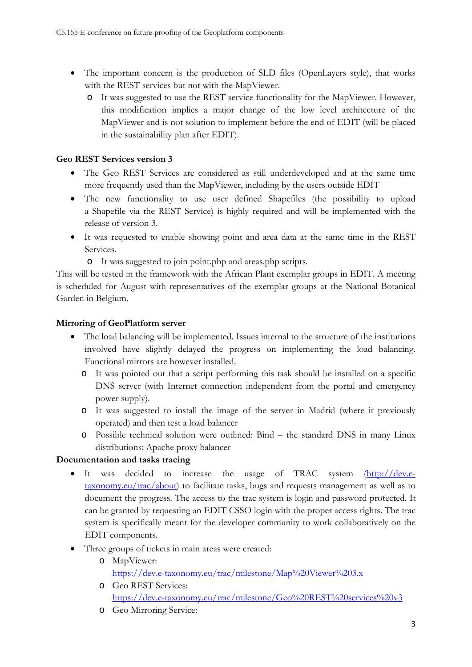- The important concern is the production of SLD files (OpenLayers style), that works with the REST services but not with the MapViewer.
	- o It was suggested to use the REST service functionality for the MapViewer. However, this modification implies a major change of the low level architecture of the MapViewer and is not solution to implement before the end of EDIT (will be placed in the sustainability plan after EDIT).

#### **Geo REST Services version 3**

- The Geo REST Services are considered as still underdeveloped and at the same time more frequently used than the MapViewer, including by the users outside EDIT
- The new functionality to use user defined Shapefiles (the possibility to upload a Shapefile via the REST Service) is highly required and will be implemented with the release of version 3.
- It was requested to enable showing point and area data at the same time in the REST Services.
	- o It was suggested to join point.php and areas.php scripts.

This will be tested in the framework with the African Plant exemplar groups in EDIT. A meeting is scheduled for August with representatives of the exemplar groups at the National Botanical Garden in Belgium.

#### **Mirroring of GeoPlatform server**

- The load balancing will be implemented. Issues internal to the structure of the institutions involved have slightly delayed the progress on implementing the load balancing. Functional mirrors are however installed.
	- o It was pointed out that a script performing this task should be installed on a specific DNS server (with Internet connection independent from the portal and emergency power supply).
	- o It was suggested to install the image of the server in Madrid (where it previously operated) and then test a load balancer
	- o Possible technical solution were outlined: Bind the standard DNS in many Linux distributions; Apache proxy balancer

#### **Documentation and tasks tracing**

- It was decided to increase the usage of TRAC system ([http://dev.e](http://dev.e-taxonomy.eu/trac/about)[taxonomy.eu/trac/about\)](http://dev.e-taxonomy.eu/trac/about) to facilitate tasks, bugs and requests management as well as to document the progress. The access to the trac system is login and password protected. It can be granted by requesting an EDIT CSSO login with the proper access rights. The trac system is specifically meant for the developer community to work collaboratively on the EDIT components.
- Three groups of tickets in main areas were created:
	- o MapViewer: <https://dev.e-taxonomy.eu/trac/milestone/Map%20Viewer%203.x>
	- o Geo REST Services: <https://dev.e-taxonomy.eu/trac/milestone/Geo%20REST%20services%20v3>
	- o Geo Mirroring Service: